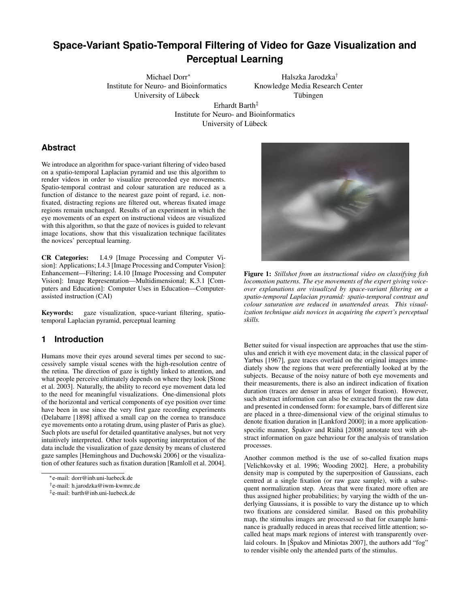# **Space-Variant Spatio-Temporal Filtering of Video for Gaze Visualization and Perceptual Learning**

Michael Dorr∗ Institute for Neuro- and Bioinformatics University of Lübeck

Halszka Jarodzka† Knowledge Media Research Center Tübingen

Erhardt Barth‡ Institute for Neuro- and Bioinformatics University of Lübeck

# **Abstract**

We introduce an algorithm for space-variant filtering of video based on a spatio-temporal Laplacian pyramid and use this algorithm to render videos in order to visualize prerecorded eye movements. Spatio-temporal contrast and colour saturation are reduced as a function of distance to the nearest gaze point of regard, i.e. nonfixated, distracting regions are filtered out, whereas fixated image regions remain unchanged. Results of an experiment in which the eye movements of an expert on instructional videos are visualized with this algorithm, so that the gaze of novices is guided to relevant image locations, show that this visualization technique facilitates the novices' perceptual learning.

CR Categories: I.4.9 [Image Processing and Computer Vision]: Applications; I.4.3 [Image Processing and Computer Vision]: Enhancement—Filtering; I.4.10 [Image Processing and Computer Vision]: Image Representation—Multidimensional; K.3.1 [Computers and Education]: Computer Uses in Education—Computerassisted instruction (CAI)

Keywords: gaze visualization, space-variant filtering, spatiotemporal Laplacian pyramid, perceptual learning

### **1 Introduction**

Humans move their eyes around several times per second to successively sample visual scenes with the high-resolution centre of the retina. The direction of gaze is tightly linked to attention, and what people perceive ultimately depends on where they look [Stone et al. 2003]. Naturally, the ability to record eye movement data led to the need for meaningful visualizations. One-dimensional plots of the horizontal and vertical components of eye position over time have been in use since the very first gaze recording experiments (Delabarre [1898] affixed a small cap on the cornea to transduce eye movements onto a rotating drum, using plaster of Paris as glue). Such plots are useful for detailed quantitative analyses, but not very intuitively interpreted. Other tools supporting interpretation of the data include the visualization of gaze density by means of clustered gaze samples [Heminghous and Duchowski 2006] or the visualization of other features such as fixation duration [Ramloll et al. 2004].



Figure 1: *Stillshot from an instructional video on classifying fish locomotion patterns. The eye movements of the expert giving voiceover explanations are visualized by space-variant filtering on a spatio-temporal Laplacian pyramid: spatio-temporal contrast and colour saturation are reduced in unattended areas. This visualization technique aids novices in acquiring the expert's perceptual skills.*

Better suited for visual inspection are approaches that use the stimulus and enrich it with eye movement data; in the classical paper of Yarbus [1967], gaze traces overlaid on the original images immediately show the regions that were preferentially looked at by the subjects. Because of the noisy nature of both eye movements and their measurements, there is also an indirect indication of fixation duration (traces are denser in areas of longer fixation). However, such abstract information can also be extracted from the raw data and presented in condensed form: for example, bars of different size are placed in a three-dimensional view of the original stimulus to denote fixation duration in [Lankford 2000]; in a more applicationspecific manner, Špakov and Räihä [2008] annotate text with abstract information on gaze behaviour for the analysis of translation processes.

Another common method is the use of so-called fixation maps [Velichkovsky et al. 1996; Wooding 2002]. Here, a probability density map is computed by the superposition of Gaussians, each centred at a single fixation (or raw gaze sample), with a subsequent normalization step. Areas that were fixated more often are thus assigned higher probabilities; by varying the width of the underlying Gaussians, it is possible to vary the distance up to which two fixations are considered similar. Based on this probability map, the stimulus images are processed so that for example luminance is gradually reduced in areas that received little attention; socalled heat maps mark regions of interest with transparently overlaid colours. In [Spakov and Miniotas 2007], the authors add "fog" to render visible only the attended parts of the stimulus.

<sup>∗</sup>e-mail: dorr@inb.uni-luebeck.de

<sup>†</sup> e-mail: h.jarodzka@iwm-kwmrc.de

<sup>‡</sup> e-mail: barth@inb.uni-luebeck.de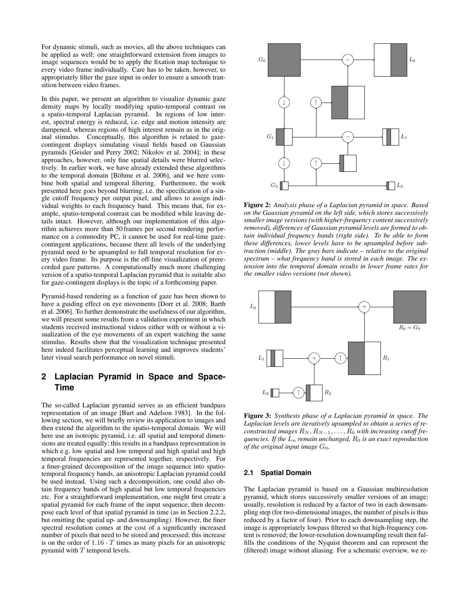For dynamic stimuli, such as movies, all the above techniques can be applied as well; one straightforward extension from images to image sequences would be to apply the fixation map technique to every video frame individually. Care has to be taken, however, to appropriately filter the gaze input in order to ensure a smooth transition between video frames.

In this paper, we present an algorithm to visualize dynamic gaze density maps by locally modifying spatio-temporal contrast on a spatio-temporal Laplacian pyramid. In regions of low interest, spectral energy is reduced, i.e. edge and motion intensity are dampened, whereas regions of high interest remain as in the original stimulus. Conceptually, this algorithm is related to gazecontingent displays simulating visual fields based on Gaussian pyramids [Geisler and Perry 2002; Nikolov et al. 2004]; in these approaches, however, only fine spatial details were blurred selectively. In earlier work, we have already extended these algorithms to the temporal domain [Böhme et al. 2006], and we here combine both spatial and temporal filtering. Furthermore, the work presented here goes beyond blurring, i.e. the specification of a single cutoff frequency per output pixel, and allows to assign individual weights to each frequency band. This means that, for example, spatio-temporal contrast can be modified while leaving details intact. However, although our implementation of this algorithm achieves more than 50 frames per second rendering performance on a commodity PC, it cannot be used for real-time gazecontingent applications, because there all levels of the underlying pyramid need to be upsampled to full temporal resolution for every video frame. Its purpose is the off-line visualization of prerecorded gaze patterns. A computationally much more challenging version of a spatio-temporal Laplacian pyramid that is suitable also for gaze-contingent displays is the topic of a forthcoming paper.

Pyramid-based rendering as a function of gaze has been shown to have a guiding effect on eye movements [Dorr et al. 2008; Barth et al. 2006]. To further demonstrate the usefulness of our algorithm, we will present some results from a validation experiment in which students received instructional videos either with or without a visualization of the eye movements of an expert watching the same stimulus. Results show that the visualization technique presented here indeed facilitates perceptual learning and improves students' later visual search performance on novel stimuli.

# **2 Laplacian Pyramid in Space and Space-Time**

The so-called Laplacian pyramid serves as an efficient bandpass representation of an image [Burt and Adelson 1983]. In the following section, we will briefly review its application to images and then extend the algorithm to the spatio-temporal domain. We will here use an isotropic pyramid, i.e. all spatial and temporal dimensions are treated equally; this results in a bandpass representation in which e.g. low spatial and low temporal and high spatial and high temporal frequencies are represented together, respectively. For a finer-grained decomposition of the image sequence into spatiotemporal frequency bands, an anisotropic Laplacian pyramid could be used instead. Using such a decomposition, one could also obtain frequency bands of high spatial but low temporal frequencies etc. For a straightforward implementation, one might first create a spatial pyramid for each frame of the input sequence, then decompose each level of that spatial pyramid in time (as in Section 2.2.2, but omitting the spatial up- and downsampling). However, the finer spectral resolution comes at the cost of a significantly increased number of pixels that need to be stored and processed; this increase is on the order of  $1.16 \cdot T$  times as many pixels for an anisotropic pyramid with  $T$  temporal levels.



Figure 2: *Analysis phase of a Laplacian pyramid in space. Based on the Gaussian pyramid on the left side, which stores successively smaller image versions (with higher-frequency content successively removed), differences of Gaussian pyramid levels are formed to obtain individual frequency bands (right side). To be able to form these differences, lower levels have to be upsampled before subtraction (middle). The gray bars indicate – relative to the original spectrum – what frequency band is stored in each image. The extension into the temporal domain results in lower frame rates for the smaller video versions (not shown).*



Figure 3: *Synthesis phase of a Laplacian pyramid in space. The Laplacian levels are iteratively upsampled to obtain a series of reconstructed images*  $R_N, R_{N-1}, \ldots, R_0$  *with increasing cutoff frequencies. If the*  $L_n$  *remain unchanged,*  $R_0$  *is an exact reproduction of the original input image*  $G_0$ *.* 

#### **2.1 Spatial Domain**

The Laplacian pyramid is based on a Gaussian multiresolution pyramid, which stores successively smaller versions of an image; usually, resolution is reduced by a factor of two in each downsampling step (for two-dimensional images, the number of pixels is thus reduced by a factor of four). Prior to each downsampling step, the image is appropriately lowpass filtered so that high-frequency content is removed; the lower-resolution downsampling result then fulfills the conditions of the Nyquist theorem and can represent the (filtered) image without aliasing. For a schematic overview, we re-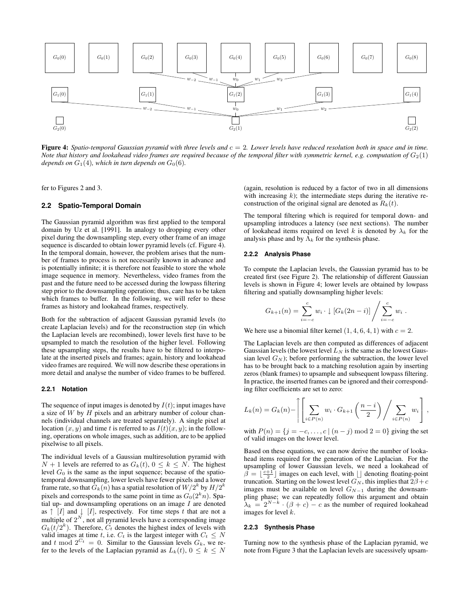

**Figure 4:** Spatio-temporal Gaussian pyramid with three levels and  $c = 2$ . Lower levels have reduced resolution both in space and in time. *Note that history and lookahead video frames are required because of the temporal filter with symmetric kernel, e.g. computation of*  $G_2(1)$ *depends on*  $G_1(4)$ *, which in turn depends on*  $G_0(6)$ *.* 

fer to Figures 2 and 3.

### **2.2 Spatio-Temporal Domain**

The Gaussian pyramid algorithm was first applied to the temporal domain by Uz et al. [1991]. In analogy to dropping every other pixel during the downsampling step, every other frame of an image sequence is discarded to obtain lower pyramid levels (cf. Figure 4). In the temporal domain, however, the problem arises that the number of frames to process is not necessarily known in advance and is potentially infinite; it is therefore not feasible to store the whole image sequence in memory. Nevertheless, video frames from the past and the future need to be accessed during the lowpass filtering step prior to the downsampling operation; thus, care has to be taken which frames to buffer. In the following, we will refer to these frames as history and lookahead frames, respectively.

Both for the subtraction of adjacent Gaussian pyramid levels (to create Laplacian levels) and for the reconstruction step (in which the Laplacian levels are recombined), lower levels first have to be upsampled to match the resolution of the higher level. Following these upsampling steps, the results have to be filtered to interpolate at the inserted pixels and frames; again, history and lookahead video frames are required. We will now describe these operations in more detail and analyse the number of video frames to be buffered.

#### **2.2.1 Notation**

The sequence of input images is denoted by  $I(t)$ ; input images have a size of  $W$  by  $H$  pixels and an arbitrary number of colour channels (individual channels are treated separately). A single pixel at location  $(x, y)$  and time t is referred to as  $I(t)(x, y)$ ; in the following, operations on whole images, such as addition, are to be applied pixelwise to all pixels.

The individual levels of a Gaussian multiresolution pyramid with  $N + 1$  levels are referred to as  $G_k(t)$ ,  $0 \le k \le N$ . The highest level  $G_0$  is the same as the input sequence; because of the spatiotemporal downsampling, lower levels have fewer pixels and a lower frame rate, so that  $\tilde{G}_k(n)$  has a spatial resolution of  $W/2^k$  by  $H/2^k$ pixels and corresponds to the same point in time as  $G_0(2<sup>k</sup>n)$ . Spatial up- and downsampling operations on an image  $I$  are denoted as  $\uparrow$  [I] and  $\downarrow$  [I], respectively. For time steps t that are not a multiple of  $2^N$ , not all pyramid levels have a corresponding image  $G_k(t/2^k)$ . Therefore,  $C_t$  denotes the highest index of levels with valid images at time t, i.e.  $C_t$  is the largest integer with  $C_t \leq N$ and t mod  $2^{C_t} = 0$ . Similar to the Gaussian levels  $G_k$ , we refer to the levels of the Laplacian pyramid as  $L_k(t)$ ,  $0 \leq k \leq N$ 

(again, resolution is reduced by a factor of two in all dimensions with increasing  $k$ ); the intermediate steps during the iterative reconstruction of the original signal are denoted as  $R_k(t)$ .

The temporal filtering which is required for temporal down- and upsampling introduces a latency (see next sections). The number of lookahead items required on level k is denoted by  $\lambda_k$  for the analysis phase and by  $\Lambda_k$  for the synthesis phase.

#### **2.2.2 Analysis Phase**

To compute the Laplacian levels, the Gaussian pyramid has to be created first (see Figure 2). The relationship of different Gaussian levels is shown in Figure 4; lower levels are obtained by lowpass filtering and spatially downsampling higher levels:

$$
G_{k+1}(n) = \sum_{i=-c}^{c} w_i \cdot \downarrow [G_k(2n-i)] / \sum_{i=-c}^{c} w_i.
$$

We here use a binomial filter kernel  $(1, 4, 6, 4, 1)$  with  $c = 2$ .

The Laplacian levels are then computed as differences of adjacent Gaussian levels (the lowest level  $L<sub>N</sub>$  is the same as the lowest Gaussian level  $G_N$ ); before performing the subtraction, the lower level has to be brought back to a matching resolution again by inserting zeros (blank frames) to upsample and subsequent lowpass filtering. In practice, the inserted frames can be ignored and their corresponding filter coefficients are set to zero:

$$
L_k(n) = G_k(n) - \left[ \left[ \sum_{i \in P(n)} w_i \cdot G_{k+1} \left( \frac{n-i}{2} \right) \bigg/ \sum_{i \in P(n)} w_i \right],
$$

with  $P(n) = \{j = -c, \ldots, c \mid (n - j) \mod 2 = 0\}$  giving the set of valid images on the lower level.

Based on these equations, we can now derive the number of lookahead items required for the generation of the Laplacian. For the upsampling of lower Gaussian levels, we need a lookahead of  $\beta = \lfloor \frac{c+1}{2} \rfloor$  images on each level, with  $\lfloor \rfloor$  denoting floating-point truncation. Starting on the lowest level  $G_N$ , this implies that  $2\beta + c$ images must be available on level  $G_{N-1}$  during the downsampling phase; we can repeatedly follow this argument and obtain  $\lambda_k = 2^{N-k} \cdot (\beta + c) - c$  as the number of required lookahead images for level k.

#### **2.2.3 Synthesis Phase**

Turning now to the synthesis phase of the Laplacian pyramid, we note from Figure 3 that the Laplacian levels are sucessively upsam-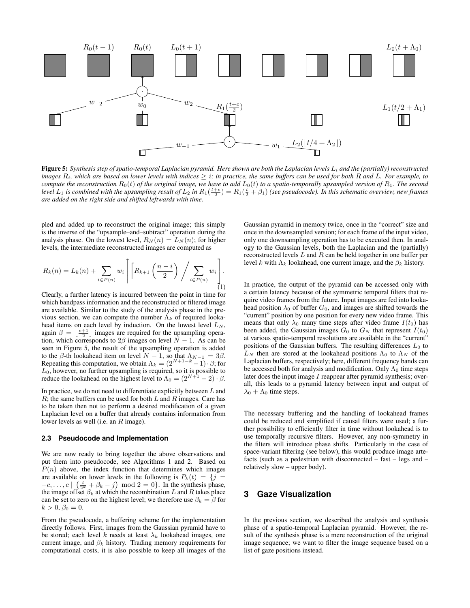

Figure 5: Synthesis step of spatio-temporal Laplacian pyramid. Here shown are both the Laplacian levels  $L_i$  and the (partially) reconstructed *images*  $R_i$ *, which are based on lower levels with indices*  $\geq i$ *; in practice, the same buffers can be used for both* R *and* L. For example, to *compute the reconstruction*  $R_0(t)$  *of the original image, we have to add*  $L_0(t)$  *to a spatio-temporally upsampled version of*  $R_1$ *. The second* level  $L_1$  is combined with the upsampling result of  $L_2$  in  $R_1(\frac{t+c}{2})=R_1(\frac{t}{2}+\beta_1)$  (see pseudocode). In this schematic overview, new frames *are added on the right side and shifted leftwards with time.*

pled and added up to reconstruct the original image; this simply is the inverse of the "upsample–and–subtract" operation during the analysis phase. On the lowest level,  $R_N(n) = L_N(n)$ ; for higher levels, the intermediate reconstructed images are computed as

$$
R_k(n) = L_k(n) + \sum_{i \in P(n)} w_i \left[ \left[ R_{k+1} \left( \frac{n-i}{2} \right) / \sum_{i \in P(n)} w_i \right] \right].
$$
 (1)

Clearly, a further latency is incurred between the point in time for which bandpass information and the reconstructed or filtered image are available. Similar to the study of the analysis phase in the previous section, we can compute the number  $\Lambda_k$  of required lookahead items on each level by induction. On the lowest level  $L_N$ , again  $\beta = \lfloor \frac{c+1}{2} \rfloor$  images are required for the upsampling operation, which corresponds to  $2\beta$  images on level  $\overline{N} - 1$ . As can be seen in Figure 5, the result of the upsampling operation is added to the  $\beta$ -th lookahead item on level  $N - 1$ , so that  $\Lambda_{N-1} = 3\beta$ . Repeating this computation, we obtain  $\Lambda_k = (2^{N+1-k}-1) \cdot \beta$ ; for  $L_0$ , however, no further upsampling is required, so it is possible to reduce the lookahead on the highest level to  $\Lambda_0 = (2^{N+1} - 2) \cdot \beta$ .

In practice, we do not need to differentiate explicitly between  $L$  and  $R$ ; the same buffers can be used for both  $L$  and  $R$  images. Care has to be taken then not to perform a desired modification of a given Laplacian level on a buffer that already contains information from lower levels as well (i.e. an R image).

#### **2.3 Pseudocode and Implementation**

We are now ready to bring together the above observations and put them into pseudocode, see Algorithms 1 and 2. Based on  $P(n)$  above, the index function that determines which images are available on lower levels in the following is  $P_k(t) = \{j =$  $-c, \ldots, c \mid \left(\frac{t}{2^k} + \beta_k - j\right) \mod 2 = 0$ . In the synthesis phase, the image offset  $\beta_k$  at which the recombination L and R takes place can be set to zero on the highest level; we therefore use  $\beta_k = \beta$  for  $k > 0, \beta_0 = 0.$ 

From the pseudocode, a buffering scheme for the implementation directly follows. First, images from the Gaussian pyramid have to be stored; each level k needs at least  $\lambda_k$  lookahead images, one current image, and  $\beta_k$  history. Trading memory requirements for computational costs, it is also possible to keep all images of the Gaussian pyramid in memory twice, once in the "correct" size and once in the downsampled version; for each frame of the input video, only one downsampling operation has to be executed then. In analogy to the Gaussian levels, both the Laplacian and the (partially) reconstructed levels L and R can be held together in one buffer per level k with  $\Lambda_k$  lookahead, one current image, and the  $\beta_k$  history.

In practice, the output of the pyramid can be accessed only with a certain latency because of the symmetric temporal filters that require video frames from the future. Input images are fed into lookahead position  $\lambda_0$  of buffer  $G_0$ , and images are shifted towards the "current" position by one position for every new video frame. This means that only  $\lambda_0$  many time steps after video frame  $I(t_0)$  has been added, the Gaussian images  $G_0$  to  $G_N$  that represent  $I(t_0)$ at various spatio-temporal resolutions are available in the "current" positions of the Gaussian buffers. The resulting differences  $L_0$  to  $L_N$  then are stored at the lookahead positions  $\Lambda_0$  to  $\Lambda_N$  of the Laplacian buffers, respectively; here, different frequency bands can be accessed both for analysis and modification. Only  $\Lambda_0$  time steps later does the input image  $I$  reappear after pyramid synthesis; overall, this leads to a pyramid latency between input and output of  $\lambda_0 + \Lambda_0$  time steps.

The necessary buffering and the handling of lookahead frames could be reduced and simplified if causal filters were used; a further possibility to efficiently filter in time without lookahead is to use temporally recursive filters. However, any non-symmetry in the filters will introduce phase shifts. Particularly in the case of space-variant filtering (see below), this would produce image artefacts (such as a pedestrian with disconnected – fast – legs and – relatively slow – upper body).

### **3 Gaze Visualization**

In the previous section, we described the analysis and synthesis phase of a spatio-temporal Laplacian pyramid. However, the result of the synthesis phase is a mere reconstruction of the original image sequence; we want to filter the image sequence based on a list of gaze positions instead.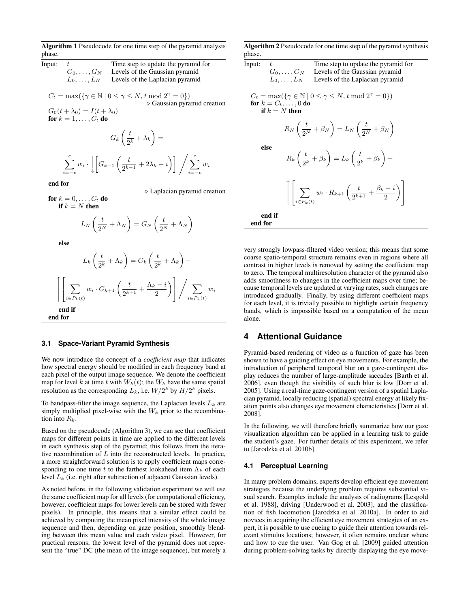Algorithm 1 Pseudocode for one time step of the pyramid analysis phase.

Input:  $t$  Time step to update the pyramid for  $G_0, \ldots, G_N$  Levels of the Gaussian pyramid  $L_0, \ldots, L_N$  Levels of the Laplacian pyramid

 $C_t = \max(\{\gamma \in \mathbb{N} \mid 0 \leq \gamma \leq N, t \mod 2^{\gamma} = 0\})$  $\triangleright$  Gaussian pyramid creation  $G_0(t + \lambda_0) = I(t + \lambda_0)$ for  $k = 1, \ldots, C_t$  do

$$
G_k\left(\frac{t}{2^k} + \lambda_k\right) =
$$
  

$$
\sum_{i=-c}^{c} w_i \cdot \left[ G_{k-1}\left(\frac{t}{2^{k-1}} + 2\lambda_k - i\right) \right] / \sum_{i=-c}^{c} w_i
$$

end for

 $\triangleright$  Laplacian pyramid creation

for  $k = 0, \ldots, C_t$  do if  $k = N$  then

$$
L_N\left(\frac{t}{2^N} + \Lambda_N\right) = G_N\left(\frac{t}{2^N} + \Lambda_N\right)
$$

else

$$
L_k\left(\frac{t}{2^k} + \Lambda_k\right) = G_k\left(\frac{t}{2^k} + \Lambda_k\right) -
$$
  

$$
\left[\left.\sum_{i \in P_k(t)} w_i \cdot G_{k+1}\left(\frac{t}{2^{k+1}} + \frac{\Lambda_k - i}{2}\right)\right] / \sum_{i \in P_k(t)} w_i
$$
  
end if  
end for

#### **3.1 Space-Variant Pyramid Synthesis**

We now introduce the concept of a *coefficient map* that indicates how spectral energy should be modified in each frequency band at each pixel of the output image sequence. We denote the coefficient map for level k at time t with  $W_k(t)$ ; the  $W_k$  have the same spatial resolution as the corresponding  $L_k$ , i.e.  $W/2^k$  by  $H/2^k$  pixels.

To bandpass-filter the image sequence, the Laplacian levels  $L_k$  are simply multiplied pixel-wise with the  $W_k$  prior to the recombination into  $R_k$ .

Based on the pseudocode (Algorithm 3), we can see that coefficient maps for different points in time are applied to the different levels in each synthesis step of the pyramid; this follows from the iterative recombination of  $L$  into the reconstructed levels. In practice, a more straightforward solution is to apply coefficient maps corresponding to one time t to the farthest lookahead item  $\Lambda_k$  of each level  $L_k$  (i.e. right after subtraction of adjacent Gaussian levels).

As noted before, in the following validation experiment we will use the same coefficient map for all levels (for computational efficiency, however, coefficient maps for lower levels can be stored with fewer pixels). In principle, this means that a similar effect could be achieved by computing the mean pixel intensity of the whole image sequence and then, depending on gaze position, smoothly blending between this mean value and each video pixel. However, for practical reasons, the lowest level of the pyramid does not represent the "true" DC (the mean of the image sequence), but merely a Algorithm 2 Pseudocode for one time step of the pyramid synthesis phase.

| Input:                                                                                                                                     | t.<br>$G_0,\ldots,G_N$ | Time step to update the pyramid for<br>Levels of the Gaussian pyramid                                                 |  |  |
|--------------------------------------------------------------------------------------------------------------------------------------------|------------------------|-----------------------------------------------------------------------------------------------------------------------|--|--|
|                                                                                                                                            | $L_0, \ldots, L_N$     | Levels of the Laplacian pyramid                                                                                       |  |  |
| $C_t = \max(\{\gamma \in \mathbb{N} \mid 0 \leq \gamma \leq N, t \mod 2^{\gamma} = 0\})$<br>for $k = C_t, \ldots, 0$ do<br>if $k = N$ then |                        |                                                                                                                       |  |  |
|                                                                                                                                            |                        | $R_N\left(\frac{t}{2^N}+\beta_N\right)=L_N\left(\frac{t}{2^N}+\beta_N\right)$                                         |  |  |
|                                                                                                                                            | else                   | $R_k\left(\frac{t}{2^k}+\beta_k\right)=L_k\left(\frac{t}{2^k}+\beta_k\right)+$                                        |  |  |
|                                                                                                                                            |                        | $\bigg  \bigg  \sum_{i \in P_k(t)} w_i \cdot R_{k+1} \left( \frac{t}{2^{k+1}} + \frac{\beta_k - i}{2} \right) \bigg $ |  |  |
| end for                                                                                                                                    | end if                 |                                                                                                                       |  |  |

very strongly lowpass-filtered video version; this means that some coarse spatio-temporal structure remains even in regions where all contrast in higher levels is removed by setting the coefficient map to zero. The temporal multiresolution character of the pyramid also adds smoothness to changes in the coefficient maps over time; because temporal levels are updated at varying rates, such changes are introduced gradually. Finally, by using different coefficient maps for each level, it is trivially possible to highlight certain frequency bands, which is impossible based on a computation of the mean alone.

### **4 Attentional Guidance**

Pyramid-based rendering of video as a function of gaze has been shown to have a guiding effect on eye movements. For example, the introduction of peripheral temporal blur on a gaze-contingent display reduces the number of large-amplitude saccades [Barth et al. 2006], even though the visibility of such blur is low [Dorr et al. 2005]. Using a real-time gaze-contingent version of a spatial Laplacian pyramid, locally reducing (spatial) spectral energy at likely fixation points also changes eye movement characteristics [Dorr et al. 2008].

In the following, we will therefore briefly summarize how our gaze visualization algorithm can be applied in a learning task to guide the student's gaze. For further details of this experiment, we refer to [Jarodzka et al. 2010b].

#### **4.1 Perceptual Learning**

In many problem domains, experts develop efficient eye movement strategies because the underlying problem requires substantial visual search. Examples include the analysis of radiograms [Lesgold et al. 1988], driving [Underwood et al. 2003], and the classification of fish locomotion [Jarodzka et al. 2010a]. In order to aid novices in acquiring the efficient eye movement strategies of an expert, it is possible to use cueing to guide their attention towards relevant stimulus locations; however, it often remains unclear where and how to cue the user. Van Gog et al. [2009] guided attention during problem-solving tasks by directly displaying the eye move-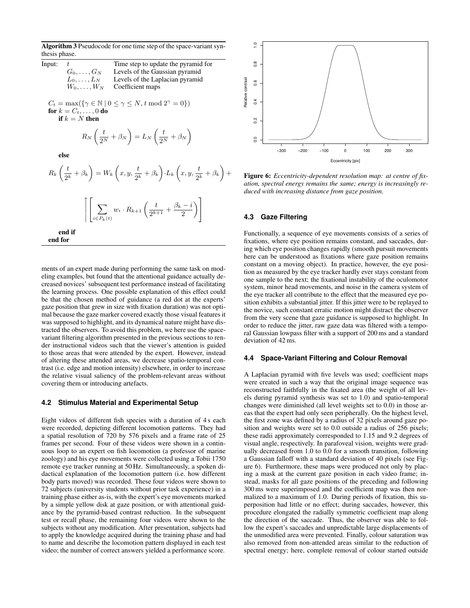Algorithm 3 Pseudocode for one time step of the space-variant synthesis phase.

| Input: |                    | Time step to update the pyramid for |
|--------|--------------------|-------------------------------------|
|        | $G_0, \ldots, G_N$ | Levels of the Gaussian pyramid      |
|        | $L_0,\ldots,L_N$   | Levels of the Laplacian pyramid     |
|        | $W_0, \ldots, W_N$ | Coefficient maps                    |

 $C_t = \max(\{\gamma \in \mathbb{N} \mid 0 \leq \gamma \leq N, t \mod 2^{\gamma} = 0\})$ for  $k = C_t, \ldots, 0$  do if  $k = N$  then

$$
R_N\left(\frac{t}{2^N} + \beta_N\right) = L_N\left(\frac{t}{2^N} + \beta_N\right)
$$

else

$$
R_k\left(\frac{t}{2^k} + \beta_k\right) = W_k\left(x, y, \frac{t}{2^k} + \beta_k\right) \cdot L_k\left(x, y, \frac{t}{2^k} + \beta_k\right) +
$$
  

$$
\left[\left[\sum_{i \in P_k(t)} w_i \cdot R_{k+1}\left(\frac{t}{2^{k+1}} + \frac{\beta_k - i}{2}\right)\right]
$$
  
end if  
end for

ments of an expert made during performing the same task on modeling examples, but found that the attentional guidance actually decreased novices' subsequent test performance instead of facilitating the learning process. One possible explanation of this effect could be that the chosen method of guidance (a red dot at the experts' gaze position that grew in size with fixation duration) was not optimal because the gaze marker covered exactly those visual features it was supposed to highlight, and its dynamical nature might have distracted the observers. To avoid this problem, we here use the spacevariant filtering algorithm presented in the previous sections to render instructional videos such that the viewer's attention is guided to those areas that were attended by the expert. However, instead of altering these attended areas, we decrease spatio-temporal contrast (i.e. edge and motion intensity) elsewhere, in order to increase the relative visual saliency of the problem-relevant areas without covering them or introducing artefacts.

#### **4.2 Stimulus Material and Experimental Setup**

Eight videos of different fish species with a duration of 4 s each were recorded, depicting different locomotion patterns. They had a spatial resolution of 720 by 576 pixels and a frame rate of 25 frames per second. Four of these videos were shown in a continuous loop to an expert on fish locomotion (a professor of marine zoology) and his eye movements were collected using a Tobii 1750 remote eye tracker running at 50 Hz. Simultaneously, a spoken didactical explanation of the locomotion pattern (i.e. how different body parts moved) was recorded. These four videos were shown to 72 subjects (university students without prior task experience) in a training phase either as-is, with the expert's eye movements marked by a simple yellow disk at gaze position, or with attentional guidance by the pyramid-based contrast reduction. In the subsequent test or recall phase, the remaining four videos were shown to the subjects without any modification. After presentation, subjects had to apply the knowledge acquired during the training phase and had to name and describe the locomotion pattern displayed in each test video; the number of correct answers yielded a performance score.



Figure 6: *Eccentricity-dependent resolution map: at centre of fixation, spectral energy remains the same; energy is increasingly reduced with increasing distance from gaze position.*

### **4.3 Gaze Filtering**

Functionally, a sequence of eye movements consists of a series of fixations, where eye position remains constant, and saccades, during which eye position changes rapidly (smooth pursuit movements here can be understood as fixations where gaze position remains constant on a moving object). In practice, however, the eye position as measured by the eye tracker hardly ever stays constant from one sample to the next; the fixational instability of the oculomotor system, minor head movements, and noise in the camera system of the eye tracker all contribute to the effect that the measured eye position exhibits a substantial jitter. If this jitter were to be replayed to the novice, such constant erratic motion might distract the observer from the very scene that gaze guidance is supposed to highlight. In order to reduce the jitter, raw gaze data was filtered with a temporal Gaussian lowpass filter with a support of 200 ms and a standard deviation of 42 ms.

#### **4.4 Space-Variant Filtering and Colour Removal**

A Laplacian pyramid with five levels was used; coefficient maps were created in such a way that the original image sequence was reconstructed faithfully in the fixated area (the weight of all levels during pyramid synthesis was set to 1.0) and spatio-temporal changes were diminished (all level weights set to 0.0) in those areas that the expert had only seen peripherally. On the highest level, the first zone was defined by a radius of 32 pixels around gaze position and weights were set to 0.0 outside a radius of 256 pixels; these radii approximately corresponded to 1.15 and 9.2 degrees of visual angle, respectively. In parafoveal vision, weights were gradually decreased from 1.0 to 0.0 for a smooth transition, following a Gaussian falloff with a standard deviation of 40 pixels (see Figure 6). Furthermore, these maps were produced not only by placing a mask at the current gaze position in each video frame; instead, masks for all gaze positions of the preceding and following 300 ms were superimposed and the coefficient map was then normalized to a maximum of 1.0. During periods of fixation, this superposition had little or no effect; during saccades, however, this procedure elongated the radially symmetric coefficient map along the direction of the saccade. Thus, the observer was able to follow the expert's saccades and unpredictable large displacements of the unmodified area were prevented. Finally, colour saturation was also removed from non-attended areas similar to the reduction of spectral energy; here, complete removal of colour started outside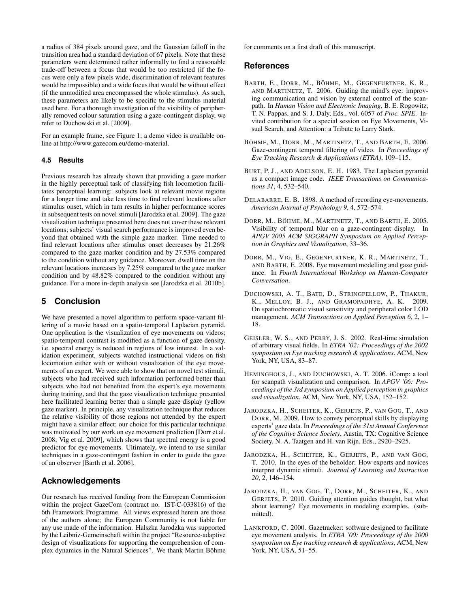a radius of 384 pixels around gaze, and the Gaussian falloff in the transition area had a standard deviation of 67 pixels. Note that these parameters were determined rather informally to find a reasonable trade-off between a focus that would be too restricted (if the focus were only a few pixels wide, discrimination of relevant features would be impossible) and a wide focus that would be without effect (if the unmodified area encompassed the whole stimulus). As such, these parameters are likely to be specific to the stimulus material used here. For a thorough investigation of the visibility of peripherally removed colour saturation using a gaze-contingent display, we refer to Duchowski et al. [2009].

For an example frame, see Figure 1; a demo video is available online at http://www.gazecom.eu/demo-material.

### **4.5 Results**

Previous research has already shown that providing a gaze marker in the highly perceptual task of classifying fish locomotion facilitates perceptual learning: subjects look at relevant movie regions for a longer time and take less time to find relevant locations after stimulus onset, which in turn results in higher performance scores in subsequent tests on novel stimuli [Jarodzka et al. 2009]. The gaze visualization technique presented here does not cover these relevant locations; subjects' visual search performance is improved even beyond that obtained with the simple gaze marker. Time needed to find relevant locations after stimulus onset decreases by 21.26% compared to the gaze marker condition and by 27.53% compared to the condition without any guidance. Moreover, dwell time on the relevant locations increases by 7.25% compared to the gaze marker condition and by 48.82% compared to the condition without any guidance. For a more in-depth analysis see [Jarodzka et al. 2010b].

# **5 Conclusion**

We have presented a novel algorithm to perform space-variant filtering of a movie based on a spatio-temporal Laplacian pyramid. One application is the visualization of eye movements on videos; spatio-temporal contrast is modified as a function of gaze density, i.e. spectral energy is reduced in regions of low interest. In a validation experiment, subjects watched instructional videos on fish locomotion either with or without visualization of the eye movements of an expert. We were able to show that on novel test stimuli, subjects who had received such information performed better than subjects who had not benefited from the expert's eye movements during training, and that the gaze visualization technique presented here facilitated learning better than a simple gaze display (yellow gaze marker). In principle, any visualization technique that reduces the relative visibility of those regions not attended by the expert might have a similar effect; our choice for this particular technique was motivated by our work on eye movement prediction [Dorr et al. 2008; Vig et al. 2009], which shows that spectral energy is a good predictor for eye movements. Ultimately, we intend to use similar techniques in a gaze-contingent fashion in order to guide the gaze of an observer [Barth et al. 2006].

# **Acknowledgements**

Our research has received funding from the European Commission within the project GazeCom (contract no. IST-C-033816) of the 6th Framework Programme. All views expressed herein are those of the authors alone; the European Community is not liable for any use made of the information. Halszka Jarodzka was supported by the Leibniz-Gemeinschaft within the project "Resource-adaptive design of visualizations for supporting the comprehension of complex dynamics in the Natural Sciences". We thank Martin Böhme for comments on a first draft of this manuscript.

### **References**

- BARTH, E., DORR, M., BÖHME, M., GEGENFURTNER, K. R., AND MARTINETZ, T. 2006. Guiding the mind's eye: improving communication and vision by external control of the scanpath. In *Human Vision and Electronic Imaging*, B. E. Rogowitz, T. N. Pappas, and S. J. Daly, Eds., vol. 6057 of *Proc. SPIE*. Invited contribution for a special session on Eye Movements, Visual Search, and Attention: a Tribute to Larry Stark.
- BÖHME, M., DORR, M., MARTINETZ, T., AND BARTH, E. 2006. Gaze-contingent temporal filtering of video. In *Proceedings of Eye Tracking Research & Applications (ETRA)*, 109–115.
- BURT, P. J., AND ADELSON, E. H. 1983. The Laplacian pyramid as a compact image code. *IEEE Transactions on Communications 31*, 4, 532–540.
- DELABARRE, E. B. 1898. A method of recording eye-movements. *American Journal of Psychology 9*, 4, 572–574.
- DORR, M., BÖHME, M., MARTINETZ, T., AND BARTH, E. 2005. Visibility of temporal blur on a gaze-contingent display. In *APGV 2005 ACM SIGGRAPH Symposium on Applied Perception in Graphics and Visualization*, 33–36.
- DORR, M., VIG, E., GEGENFURTNER, K. R., MARTINETZ, T., AND BARTH, E. 2008. Eye movement modelling and gaze guidance. In *Fourth International Workshop on Human-Computer Conversation*.
- DUCHOWSKI, A. T., BATE, D., STRINGFELLOW, P., THAKUR, K., MELLOY, B. J., AND GRAMOPADHYE, A. K. 2009. On spatiochromatic visual sensitivity and peripheral color LOD management. *ACM Transactions on Applied Perception 6*, 2, 1– 18.
- GEISLER, W. S., AND PERRY, J. S. 2002. Real-time simulation of arbitrary visual fields. In *ETRA '02: Proceedings of the 2002 symposium on Eye tracking research & applications*. ACM, New York, NY, USA, 83–87.
- HEMINGHOUS, J., AND DUCHOWSKI, A. T. 2006. iComp: a tool for scanpath visualization and comparison. In *APGV '06: Proceedings of the 3rd symposium on Applied perception in graphics and visualization*, ACM, New York, NY, USA, 152–152.
- JARODZKA, H., SCHEITER, K., GERJETS, P., VAN GOG, T., AND DORR, M. 2009. How to convey perceptual skills by displaying experts' gaze data. In *Proceedings of the 31st Annual Conference of the Cognitive Science Society*, Austin, TX: Cognitive Science Society, N. A. Taatgen and H. van Rijn, Eds., 2920–2925.
- JARODZKA, H., SCHEITER, K., GERJETS, P., AND VAN GOG, T. 2010. In the eyes of the beholder: How experts and novices interpret dynamic stimuli. *Journal of Learning and Instruction 20*, 2, 146–154.
- JARODZKA, H., VAN GOG, T., DORR, M., SCHEITER, K., AND GERJETS, P. 2010. Guiding attention guides thought, but what about learning? Eye movements in modeling examples. (submitted).
- LANKFORD, C. 2000. Gazetracker: software designed to facilitate eye movement analysis. In *ETRA '00: Proceedings of the 2000 symposium on Eye tracking research & applications*, ACM, New York, NY, USA, 51–55.